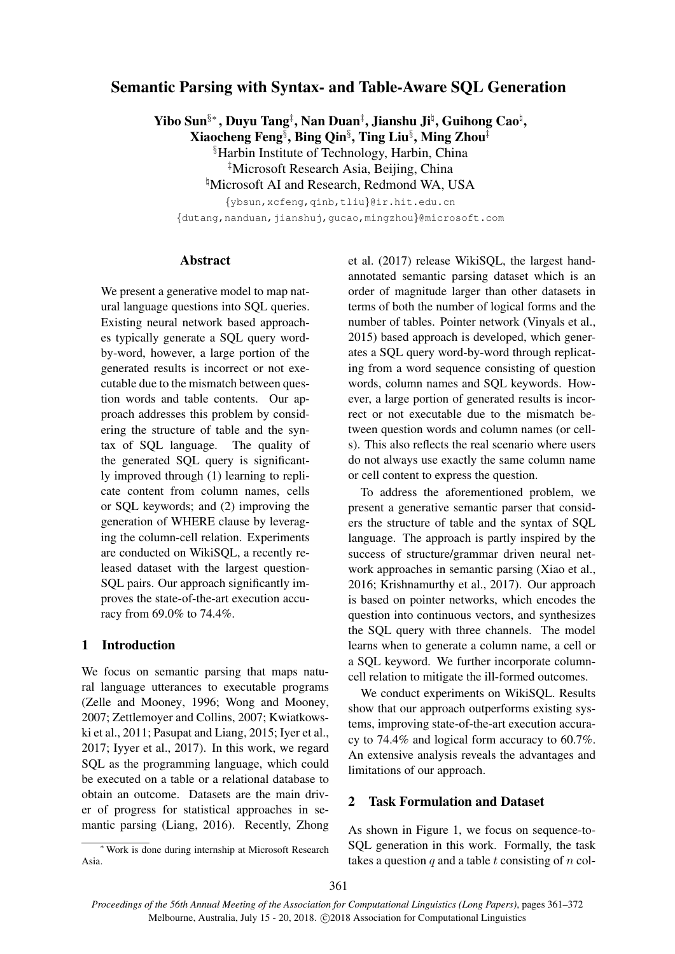# Semantic Parsing with Syntax- and Table-Aware SQL Generation

Yibo Sun<sup>§</sup>\*, Duyu Tang<sup>‡</sup>, Nan Duan<sup>‡</sup>, Jianshu Jiʰ, Guihong Cao<sup>‡</sup>,

Xiaocheng Feng $\S$ , Bing Qin $\S$ , Ting Liu $\S$ , Ming Zhou $^\ddag$ 

§Harbin Institute of Technology, Harbin, China

‡Microsoft Research Asia, Beijing, China

<sup>h</sup>Microsoft AI and Research, Redmond WA, USA

{ybsun,xcfeng,qinb,tliu}@ir.hit.edu.cn

{dutang,nanduan,jianshuj,gucao,mingzhou}@microsoft.com

# Abstract

We present a generative model to map natural language questions into SQL queries. Existing neural network based approaches typically generate a SQL query wordby-word, however, a large portion of the generated results is incorrect or not executable due to the mismatch between question words and table contents. Our approach addresses this problem by considering the structure of table and the syntax of SQL language. The quality of the generated SQL query is significantly improved through (1) learning to replicate content from column names, cells or SQL keywords; and (2) improving the generation of WHERE clause by leveraging the column-cell relation. Experiments are conducted on WikiSQL, a recently released dataset with the largest question-SQL pairs. Our approach significantly improves the state-of-the-art execution accuracy from 69.0% to 74.4%.

# 1 Introduction

We focus on semantic parsing that maps natural language utterances to executable programs (Zelle and Mooney, 1996; Wong and Mooney, 2007; Zettlemoyer and Collins, 2007; Kwiatkowski et al., 2011; Pasupat and Liang, 2015; Iyer et al., 2017; Iyyer et al., 2017). In this work, we regard SQL as the programming language, which could be executed on a table or a relational database to obtain an outcome. Datasets are the main driver of progress for statistical approaches in semantic parsing (Liang, 2016). Recently, Zhong

<sup>∗</sup> Work is done during internship at Microsoft Research Asia.

et al. (2017) release WikiSQL, the largest handannotated semantic parsing dataset which is an order of magnitude larger than other datasets in terms of both the number of logical forms and the number of tables. Pointer network (Vinyals et al., 2015) based approach is developed, which generates a SQL query word-by-word through replicating from a word sequence consisting of question words, column names and SQL keywords. However, a large portion of generated results is incorrect or not executable due to the mismatch between question words and column names (or cells). This also reflects the real scenario where users do not always use exactly the same column name or cell content to express the question.

To address the aforementioned problem, we present a generative semantic parser that considers the structure of table and the syntax of SQL language. The approach is partly inspired by the success of structure/grammar driven neural network approaches in semantic parsing (Xiao et al., 2016; Krishnamurthy et al., 2017). Our approach is based on pointer networks, which encodes the question into continuous vectors, and synthesizes the SQL query with three channels. The model learns when to generate a column name, a cell or a SQL keyword. We further incorporate columncell relation to mitigate the ill-formed outcomes.

We conduct experiments on WikiSQL. Results show that our approach outperforms existing systems, improving state-of-the-art execution accuracy to 74.4% and logical form accuracy to 60.7%. An extensive analysis reveals the advantages and limitations of our approach.

# 2 Task Formulation and Dataset

As shown in Figure 1, we focus on sequence-to-SQL generation in this work. Formally, the task takes a question  $q$  and a table t consisting of  $n$  col-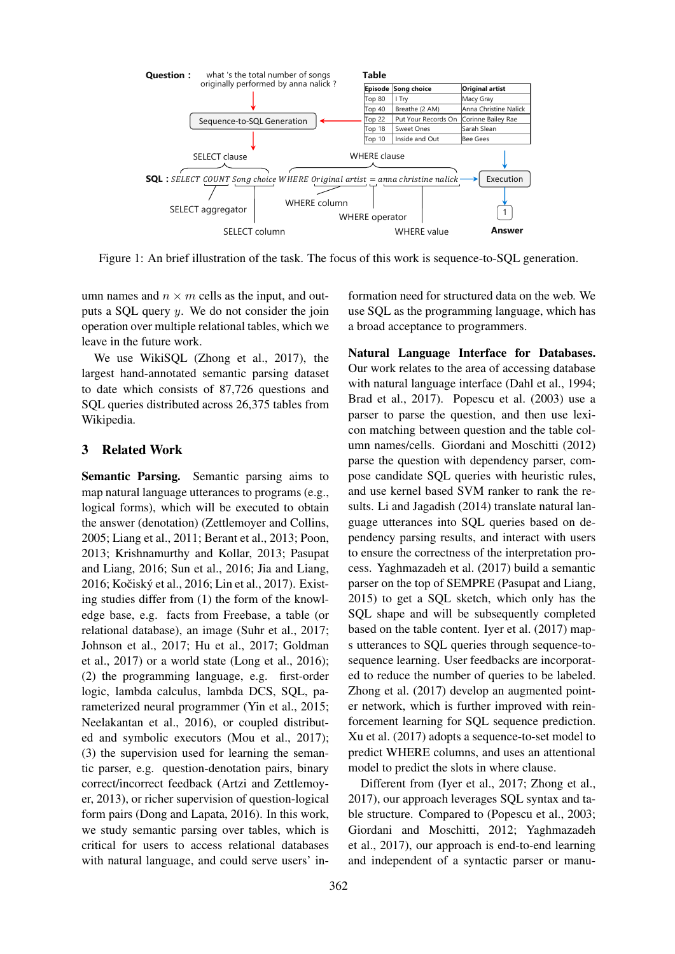

Figure 1: An brief illustration of the task. The focus of this work is sequence-to-SQL generation.

umn names and  $n \times m$  cells as the input, and outputs a SQL query y. We do not consider the join operation over multiple relational tables, which we leave in the future work.

We use WikiSQL (Zhong et al., 2017), the largest hand-annotated semantic parsing dataset to date which consists of 87,726 questions and SQL queries distributed across 26,375 tables from Wikipedia.

#### 3 Related Work

Semantic Parsing. Semantic parsing aims to map natural language utterances to programs (e.g., logical forms), which will be executed to obtain the answer (denotation) (Zettlemoyer and Collins, 2005; Liang et al., 2011; Berant et al., 2013; Poon, 2013; Krishnamurthy and Kollar, 2013; Pasupat and Liang, 2016; Sun et al., 2016; Jia and Liang, 2016; Kočiský et al., 2016; Lin et al., 2017). Existing studies differ from (1) the form of the knowledge base, e.g. facts from Freebase, a table (or relational database), an image (Suhr et al., 2017; Johnson et al., 2017; Hu et al., 2017; Goldman et al., 2017) or a world state (Long et al., 2016); (2) the programming language, e.g. first-order logic, lambda calculus, lambda DCS, SQL, parameterized neural programmer (Yin et al., 2015; Neelakantan et al., 2016), or coupled distributed and symbolic executors (Mou et al., 2017); (3) the supervision used for learning the semantic parser, e.g. question-denotation pairs, binary correct/incorrect feedback (Artzi and Zettlemoyer, 2013), or richer supervision of question-logical form pairs (Dong and Lapata, 2016). In this work, we study semantic parsing over tables, which is critical for users to access relational databases with natural language, and could serve users' information need for structured data on the web. We use SQL as the programming language, which has a broad acceptance to programmers.

Natural Language Interface for Databases. Our work relates to the area of accessing database with natural language interface (Dahl et al., 1994; Brad et al., 2017). Popescu et al. (2003) use a parser to parse the question, and then use lexicon matching between question and the table column names/cells. Giordani and Moschitti (2012) parse the question with dependency parser, compose candidate SQL queries with heuristic rules, and use kernel based SVM ranker to rank the results. Li and Jagadish (2014) translate natural language utterances into SQL queries based on dependency parsing results, and interact with users to ensure the correctness of the interpretation process. Yaghmazadeh et al. (2017) build a semantic parser on the top of SEMPRE (Pasupat and Liang, 2015) to get a SQL sketch, which only has the SQL shape and will be subsequently completed based on the table content. Iyer et al. (2017) maps utterances to SQL queries through sequence-tosequence learning. User feedbacks are incorporated to reduce the number of queries to be labeled. Zhong et al. (2017) develop an augmented pointer network, which is further improved with reinforcement learning for SQL sequence prediction. Xu et al. (2017) adopts a sequence-to-set model to predict WHERE columns, and uses an attentional model to predict the slots in where clause.

Different from (Iyer et al., 2017; Zhong et al., 2017), our approach leverages SQL syntax and table structure. Compared to (Popescu et al., 2003; Giordani and Moschitti, 2012; Yaghmazadeh et al., 2017), our approach is end-to-end learning and independent of a syntactic parser or manu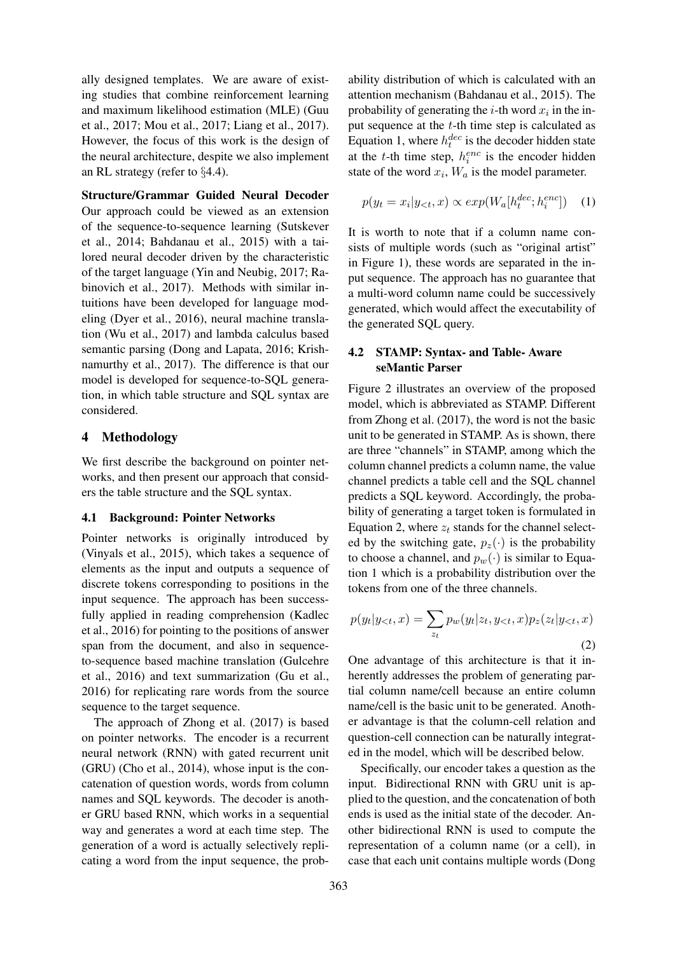ally designed templates. We are aware of existing studies that combine reinforcement learning and maximum likelihood estimation (MLE) (Guu et al., 2017; Mou et al., 2017; Liang et al., 2017). However, the focus of this work is the design of the neural architecture, despite we also implement an RL strategy (refer to §4.4).

Structure/Grammar Guided Neural Decoder Our approach could be viewed as an extension of the sequence-to-sequence learning (Sutskever et al., 2014; Bahdanau et al., 2015) with a tailored neural decoder driven by the characteristic of the target language (Yin and Neubig, 2017; Rabinovich et al., 2017). Methods with similar intuitions have been developed for language modeling (Dyer et al., 2016), neural machine translation (Wu et al., 2017) and lambda calculus based semantic parsing (Dong and Lapata, 2016; Krishnamurthy et al., 2017). The difference is that our model is developed for sequence-to-SQL generation, in which table structure and SQL syntax are considered.

### 4 Methodology

We first describe the background on pointer networks, and then present our approach that considers the table structure and the SQL syntax.

### 4.1 Background: Pointer Networks

Pointer networks is originally introduced by (Vinyals et al., 2015), which takes a sequence of elements as the input and outputs a sequence of discrete tokens corresponding to positions in the input sequence. The approach has been successfully applied in reading comprehension (Kadlec et al., 2016) for pointing to the positions of answer span from the document, and also in sequenceto-sequence based machine translation (Gulcehre et al., 2016) and text summarization (Gu et al., 2016) for replicating rare words from the source sequence to the target sequence.

The approach of Zhong et al. (2017) is based on pointer networks. The encoder is a recurrent neural network (RNN) with gated recurrent unit (GRU) (Cho et al., 2014), whose input is the concatenation of question words, words from column names and SQL keywords. The decoder is another GRU based RNN, which works in a sequential way and generates a word at each time step. The generation of a word is actually selectively replicating a word from the input sequence, the probability distribution of which is calculated with an attention mechanism (Bahdanau et al., 2015). The probability of generating the *i*-th word  $x_i$  in the input sequence at the  $t$ -th time step is calculated as Equation 1, where  $h_t^{dec}$  is the decoder hidden state at the t-th time step,  $h_i^{enc}$  is the encoder hidden state of the word  $x_i$ ,  $W_a$  is the model parameter.

$$
p(y_t = x_i | y_{< t}, x) \propto exp(W_a[h_t^{dec}; h_i^{enc}]) \quad (1)
$$

It is worth to note that if a column name consists of multiple words (such as "original artist" in Figure 1), these words are separated in the input sequence. The approach has no guarantee that a multi-word column name could be successively generated, which would affect the executability of the generated SQL query.

# 4.2 STAMP: Syntax- and Table- Aware seMantic Parser

Figure 2 illustrates an overview of the proposed model, which is abbreviated as STAMP. Different from Zhong et al. (2017), the word is not the basic unit to be generated in STAMP. As is shown, there are three "channels" in STAMP, among which the column channel predicts a column name, the value channel predicts a table cell and the SQL channel predicts a SQL keyword. Accordingly, the probability of generating a target token is formulated in Equation 2, where  $z_t$  stands for the channel selected by the switching gate,  $p_z(\cdot)$  is the probability to choose a channel, and  $p_w(\cdot)$  is similar to Equation 1 which is a probability distribution over the tokens from one of the three channels.

$$
p(y_t|y_{< t}, x) = \sum_{z_t} p_w(y_t|z_t, y_{< t}, x) p_z(z_t|y_{< t}, x)
$$
\n(2)

One advantage of this architecture is that it inherently addresses the problem of generating partial column name/cell because an entire column name/cell is the basic unit to be generated. Another advantage is that the column-cell relation and question-cell connection can be naturally integrated in the model, which will be described below.

Specifically, our encoder takes a question as the input. Bidirectional RNN with GRU unit is applied to the question, and the concatenation of both ends is used as the initial state of the decoder. Another bidirectional RNN is used to compute the representation of a column name (or a cell), in case that each unit contains multiple words (Dong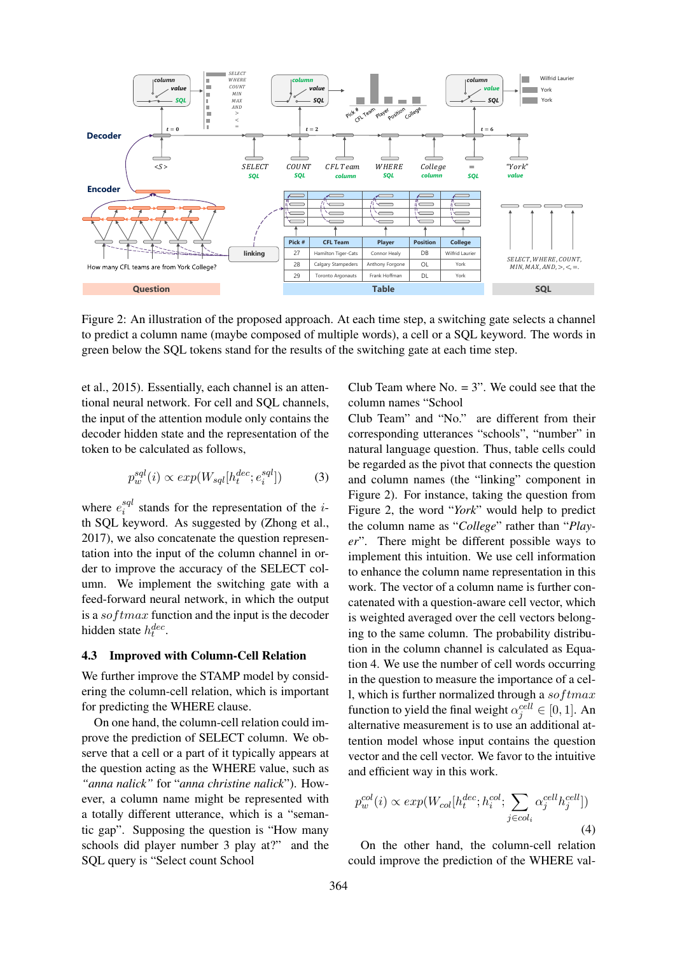

Figure 2: An illustration of the proposed approach. At each time step, a switching gate selects a channel to predict a column name (maybe composed of multiple words), a cell or a SQL keyword. The words in green below the SQL tokens stand for the results of the switching gate at each time step.

et al., 2015). Essentially, each channel is an attentional neural network. For cell and SQL channels, the input of the attention module only contains the decoder hidden state and the representation of the token to be calculated as follows,

$$
p_w^{sql}(i) \propto exp(W_{sql}[h_t^{dec}; e_i^{sql}]) \tag{3}
$$

where  $e_i^{sql}$  $i$ <sup>sql</sup> stands for the representation of the *i*th SQL keyword. As suggested by (Zhong et al., 2017), we also concatenate the question representation into the input of the column channel in order to improve the accuracy of the SELECT column. We implement the switching gate with a feed-forward neural network, in which the output is a sof tmax function and the input is the decoder hidden state  $h_t^{dec}$ .

# 4.3 Improved with Column-Cell Relation

We further improve the STAMP model by considering the column-cell relation, which is important for predicting the WHERE clause.

On one hand, the column-cell relation could improve the prediction of SELECT column. We observe that a cell or a part of it typically appears at the question acting as the WHERE value, such as *"anna nalick"* for "*anna christine nalick*"). However, a column name might be represented with a totally different utterance, which is a "semantic gap". Supposing the question is "How many schools did player number 3 play at?" and the SQL query is "Select count School

Club Team where  $No. = 3$ ". We could see that the column names "School

Club Team" and "No." are different from their corresponding utterances "schools", "number" in natural language question. Thus, table cells could be regarded as the pivot that connects the question and column names (the "linking" component in Figure 2). For instance, taking the question from Figure 2, the word "*York*" would help to predict the column name as "*College*" rather than "*Player*". There might be different possible ways to implement this intuition. We use cell information to enhance the column name representation in this work. The vector of a column name is further concatenated with a question-aware cell vector, which is weighted averaged over the cell vectors belonging to the same column. The probability distribution in the column channel is calculated as Equation 4. We use the number of cell words occurring in the question to measure the importance of a cell, which is further normalized through a  $softmax$ function to yield the final weight  $\alpha_j^{cell} \in [0, 1]$ . An alternative measurement is to use an additional attention model whose input contains the question vector and the cell vector. We favor to the intuitive and efficient way in this work.

$$
p_w^{col}(i) \propto exp(W_{col}[h_t^{dec}; h_i^{col}; \sum_{j \in col_i} \alpha_j^{cell} h_j^{cell}])
$$
\n(4)

On the other hand, the column-cell relation could improve the prediction of the WHERE val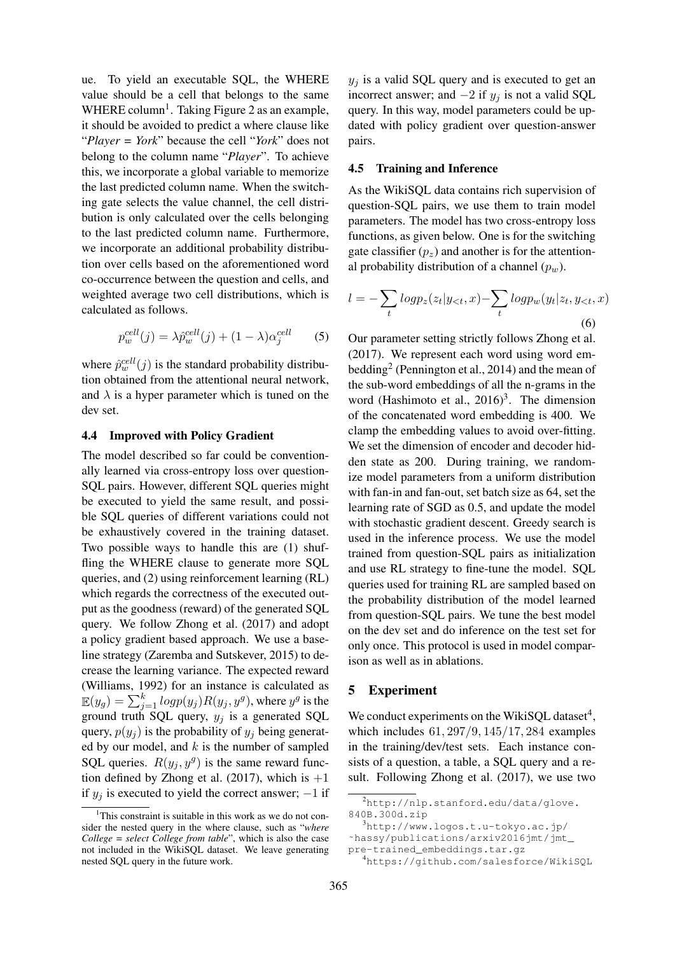ue. To yield an executable SQL, the WHERE value should be a cell that belongs to the same WHERE column<sup>1</sup>. Taking Figure 2 as an example, it should be avoided to predict a where clause like "*Player = York*" because the cell "*York*" does not belong to the column name "*Player*". To achieve this, we incorporate a global variable to memorize the last predicted column name. When the switching gate selects the value channel, the cell distribution is only calculated over the cells belonging to the last predicted column name. Furthermore, we incorporate an additional probability distribution over cells based on the aforementioned word co-occurrence between the question and cells, and weighted average two cell distributions, which is calculated as follows.

$$
p_w^{cell}(j) = \lambda \hat{p}_w^{cell}(j) + (1 - \lambda)\alpha_j^{cell}
$$
 (5)

where  $\hat{p}_{w}^{cell}(j)$  is the standard probability distribution obtained from the attentional neural network, and  $\lambda$  is a hyper parameter which is tuned on the dev set.

#### 4.4 Improved with Policy Gradient

The model described so far could be conventionally learned via cross-entropy loss over question-SQL pairs. However, different SQL queries might be executed to yield the same result, and possible SQL queries of different variations could not be exhaustively covered in the training dataset. Two possible ways to handle this are (1) shuffling the WHERE clause to generate more SQL queries, and (2) using reinforcement learning (RL) which regards the correctness of the executed output as the goodness (reward) of the generated SQL query. We follow Zhong et al. (2017) and adopt a policy gradient based approach. We use a baseline strategy (Zaremba and Sutskever, 2015) to decrease the learning variance. The expected reward (Williams, 1992) for an instance is calculated as  $\mathbb{E}(y_g) = \sum_{j=1}^k log p(y_j) R(y_j, y^g),$  where  $y^g$  is the ground truth SQL query,  $y_j$  is a generated SQL query,  $p(y_i)$  is the probability of  $y_i$  being generated by our model, and  $k$  is the number of sampled SQL queries.  $R(y_j, y^g)$  is the same reward function defined by Zhong et al. (2017), which is  $+1$ if  $y_j$  is executed to yield the correct answer;  $-1$  if

 $y_j$  is a valid SQL query and is executed to get an incorrect answer; and  $-2$  if  $y_j$  is not a valid SQL query. In this way, model parameters could be updated with policy gradient over question-answer pairs.

### 4.5 Training and Inference

As the WikiSQL data contains rich supervision of question-SQL pairs, we use them to train model parameters. The model has two cross-entropy loss functions, as given below. One is for the switching gate classifier  $(p_z)$  and another is for the attentional probability distribution of a channel  $(p_w)$ .

$$
l = -\sum_{t} log p_z(z_t | y_{<}, x) - \sum_{t} log p_w(y_t | z_t, y_{<}, x)
$$
\n
$$
(6)
$$

Our parameter setting strictly follows Zhong et al. (2017). We represent each word using word embedding<sup>2</sup> (Pennington et al., 2014) and the mean of the sub-word embeddings of all the n-grams in the word (Hashimoto et al., 2016)<sup>3</sup>. The dimension of the concatenated word embedding is 400. We clamp the embedding values to avoid over-fitting. We set the dimension of encoder and decoder hidden state as 200. During training, we randomize model parameters from a uniform distribution with fan-in and fan-out, set batch size as 64, set the learning rate of SGD as 0.5, and update the model with stochastic gradient descent. Greedy search is used in the inference process. We use the model trained from question-SQL pairs as initialization and use RL strategy to fine-tune the model. SQL queries used for training RL are sampled based on the probability distribution of the model learned from question-SQL pairs. We tune the best model on the dev set and do inference on the test set for only once. This protocol is used in model comparison as well as in ablations.

#### 5 Experiment

We conduct experiments on the WikiSQL dataset<sup>4</sup>, which includes 61, 297/9, 145/17, 284 examples in the training/dev/test sets. Each instance consists of a question, a table, a SQL query and a result. Following Zhong et al. (2017), we use two

 $1$ This constraint is suitable in this work as we do not consider the nested query in the where clause, such as "*where College = select College from table*", which is also the case not included in the WikiSQL dataset. We leave generating nested SQL query in the future work.

<sup>2</sup>http://nlp.stanford.edu/data/glove. 840B.300d.zip

 $3$ http://www.logos.t.u-tokyo.ac.jp/

<sup>˜</sup>hassy/publications/arxiv2016jmt/jmt\_

pre-trained\_embeddings.tar.gz

<sup>4</sup>https://github.com/salesforce/WikiSQL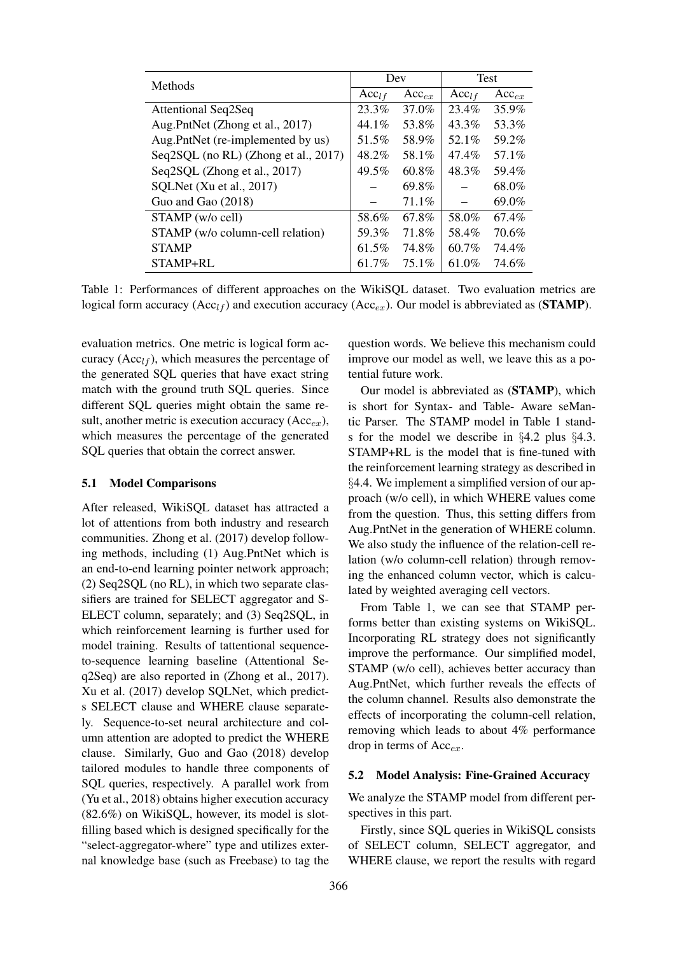| Methods                              | Dev               |            | <b>Test</b>       |            |
|--------------------------------------|-------------------|------------|-------------------|------------|
|                                      | Acc <sub>lf</sub> | $Acc_{ex}$ | Acc <sub>lf</sub> | $Acc_{ex}$ |
| <b>Attentional Seq2Seq</b>           | 23.3%             | 37.0%      | 23.4%             | 35.9%      |
| Aug.PntNet (Zhong et al., 2017)      | 44.1%             | 53.8%      | 43.3%             | 53.3%      |
| Aug.PntNet (re-implemented by us)    | 51.5%             | 58.9%      | 52.1%             | 59.2%      |
| Seq2SQL (no RL) (Zhong et al., 2017) | 48.2%             | 58.1%      | 47.4%             | 57.1%      |
| Seq2SQL (Zhong et al., 2017)         | 49.5%             | 60.8%      | 48.3%             | 59.4%      |
| SQLNet (Xu et al., 2017)             |                   | 69.8%      |                   | 68.0%      |
| Guo and Gao (2018)                   |                   | $71.1\%$   |                   | 69.0%      |
| STAMP (w/o cell)                     | 58.6%             | 67.8%      | 58.0%             | 67.4%      |
| STAMP (w/o column-cell relation)     | 59.3%             | 71.8%      | 58.4%             | 70.6%      |
| <b>STAMP</b>                         | 61.5%             | 74.8%      | 60.7%             | 74.4%      |
| STAMP+RL                             | 61.7%             | 75.1%      | 61.0%             | 74.6%      |

Table 1: Performances of different approaches on the WikiSQL dataset. Two evaluation metrics are logical form accuracy (Acc<sub>lf</sub>) and execution accuracy (Acc<sub>ex</sub>). Our model is abbreviated as (**STAMP**).

evaluation metrics. One metric is logical form accuracy ( $Acc<sub>lf</sub>$ ), which measures the percentage of the generated SQL queries that have exact string match with the ground truth SQL queries. Since different SQL queries might obtain the same result, another metric is execution accuracy  $(Acc_{ex})$ , which measures the percentage of the generated SQL queries that obtain the correct answer.

# 5.1 Model Comparisons

After released, WikiSQL dataset has attracted a lot of attentions from both industry and research communities. Zhong et al. (2017) develop following methods, including (1) Aug.PntNet which is an end-to-end learning pointer network approach; (2) Seq2SQL (no RL), in which two separate classifiers are trained for SELECT aggregator and S-ELECT column, separately; and (3) Seq2SQL, in which reinforcement learning is further used for model training. Results of tattentional sequenceto-sequence learning baseline (Attentional Seq2Seq) are also reported in (Zhong et al., 2017). Xu et al. (2017) develop SQLNet, which predicts SELECT clause and WHERE clause separately. Sequence-to-set neural architecture and column attention are adopted to predict the WHERE clause. Similarly, Guo and Gao (2018) develop tailored modules to handle three components of SQL queries, respectively. A parallel work from (Yu et al., 2018) obtains higher execution accuracy (82.6%) on WikiSQL, however, its model is slotfilling based which is designed specifically for the "select-aggregator-where" type and utilizes external knowledge base (such as Freebase) to tag the

question words. We believe this mechanism could improve our model as well, we leave this as a potential future work.

Our model is abbreviated as (STAMP), which is short for Syntax- and Table- Aware seMantic Parser. The STAMP model in Table 1 stands for the model we describe in §4.2 plus §4.3. STAMP+RL is the model that is fine-tuned with the reinforcement learning strategy as described in §4.4. We implement a simplified version of our approach (w/o cell), in which WHERE values come from the question. Thus, this setting differs from Aug.PntNet in the generation of WHERE column. We also study the influence of the relation-cell relation (w/o column-cell relation) through removing the enhanced column vector, which is calculated by weighted averaging cell vectors.

From Table 1, we can see that STAMP performs better than existing systems on WikiSQL. Incorporating RL strategy does not significantly improve the performance. Our simplified model, STAMP (w/o cell), achieves better accuracy than Aug.PntNet, which further reveals the effects of the column channel. Results also demonstrate the effects of incorporating the column-cell relation, removing which leads to about 4% performance drop in terms of  $Acc_{ex}$ .

#### 5.2 Model Analysis: Fine-Grained Accuracy

We analyze the STAMP model from different perspectives in this part.

Firstly, since SQL queries in WikiSQL consists of SELECT column, SELECT aggregator, and WHERE clause, we report the results with regard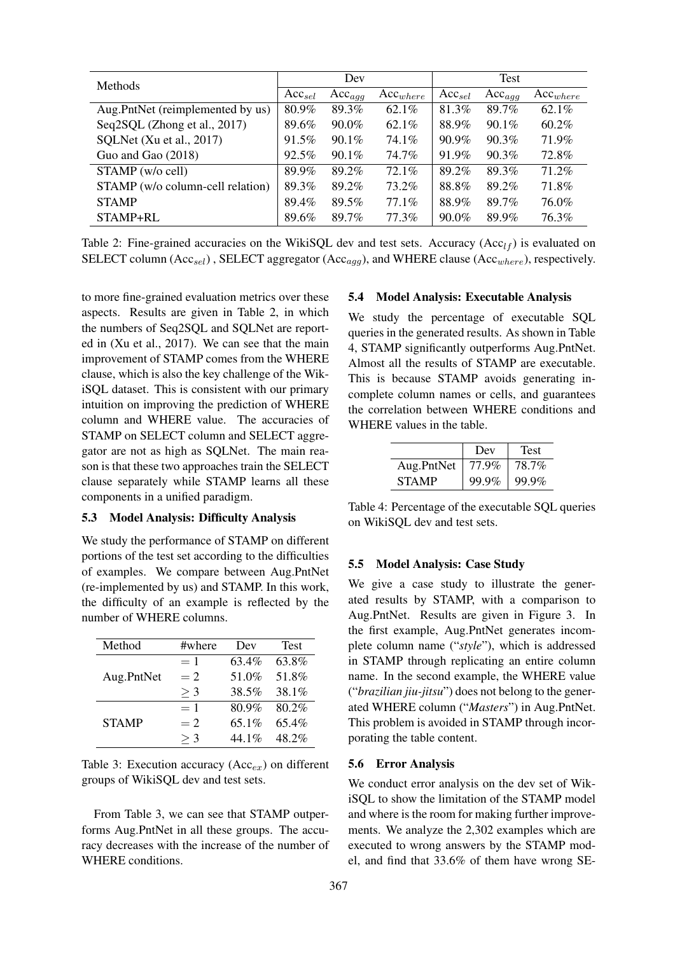| <b>Methods</b>                   | Dev         |             |               | Test        |             |               |
|----------------------------------|-------------|-------------|---------------|-------------|-------------|---------------|
|                                  | $Acc_{sel}$ | $Acc_{agg}$ | $Acc_{where}$ | $Acc_{sel}$ | $Acc_{agg}$ | $Acc_{where}$ |
| Aug.PntNet (reimplemented by us) | 80.9%       | 89.3%       | $62.1\%$      | 81.3%       | 89.7%       | 62.1%         |
| Seq2SQL (Zhong et al., 2017)     | 89.6%       | $90.0\%$    | $62.1\%$      | 88.9%       | $90.1\%$    | $60.2\%$      |
| SQLNet (Xu et al., 2017)         | 91.5%       | $90.1\%$    | 74.1%         | 90.9%       | $90.3\%$    | 71.9%         |
| Guo and Gao (2018)               | $92.5\%$    | $90.1\%$    | 74.7%         | 91.9%       | $90.3\%$    | 72.8%         |
| STAMP (w/o cell)                 | 89.9%       | 89.2%       | 72.1%         | 89.2%       | 89.3%       | 71.2%         |
| STAMP (w/o column-cell relation) | 89.3%       | 89.2%       | 73.2%         | 88.8%       | 89.2%       | 71.8%         |
| <b>STAMP</b>                     | 89.4%       | 89.5%       | $77.1\%$      | 88.9%       | 89.7%       | 76.0%         |
| STAMP+RL                         | 89.6%       | 89.7%       | 77.3%         | $90.0\%$    | 89.9%       | 76.3%         |

Table 2: Fine-grained accuracies on the WikiSQL dev and test sets. Accuracy (Acc<sub>lf</sub>) is evaluated on SELECT column  $(Acc_{sel})$ , SELECT aggregator  $(Acc_{aqq})$ , and WHERE clause  $(Acc_{where})$ , respectively.

to more fine-grained evaluation metrics over these aspects. Results are given in Table 2, in which the numbers of Seq2SQL and SQLNet are reported in (Xu et al., 2017). We can see that the main improvement of STAMP comes from the WHERE clause, which is also the key challenge of the WikiSQL dataset. This is consistent with our primary intuition on improving the prediction of WHERE column and WHERE value. The accuracies of STAMP on SELECT column and SELECT aggregator are not as high as SQLNet. The main reason is that these two approaches train the SELECT clause separately while STAMP learns all these components in a unified paradigm.

# 5.3 Model Analysis: Difficulty Analysis

We study the performance of STAMP on different portions of the test set according to the difficulties of examples. We compare between Aug.PntNet (re-implemented by us) and STAMP. In this work, the difficulty of an example is reflected by the number of WHERE columns.

| Method       | #where | Dev   | <b>Test</b> |
|--------------|--------|-------|-------------|
|              | $=1$   | 63.4% | 63.8%       |
| Aug.PntNet   | $=2$   | 51.0% | 51.8%       |
|              | $>$ 3  | 38.5% | 38.1%       |
|              | $=1$   | 80.9% | 80.2%       |
| <b>STAMP</b> | $=2$   | 65.1% | 65.4%       |
|              | $>$ 3  | 44 1% | 48.2%       |

Table 3: Execution accuracy  $(Acc_{ex})$  on different groups of WikiSQL dev and test sets.

From Table 3, we can see that STAMP outperforms Aug.PntNet in all these groups. The accuracy decreases with the increase of the number of WHERE conditions.

#### 5.4 Model Analysis: Executable Analysis

We study the percentage of executable SQL queries in the generated results. As shown in Table 4, STAMP significantly outperforms Aug.PntNet. Almost all the results of STAMP are executable. This is because STAMP avoids generating incomplete column names or cells, and guarantees the correlation between WHERE conditions and WHERE values in the table.

|              | Dev   | Test  |
|--------------|-------|-------|
| Aug.PntNet   | 77.9% | 78.7% |
| <b>STAMP</b> | 99.9% | 99.9% |

Table 4: Percentage of the executable SQL queries on WikiSQL dev and test sets.

# 5.5 Model Analysis: Case Study

We give a case study to illustrate the generated results by STAMP, with a comparison to Aug.PntNet. Results are given in Figure 3. In the first example, Aug.PntNet generates incomplete column name ("*style*"), which is addressed in STAMP through replicating an entire column name. In the second example, the WHERE value ("*brazilian jiu-jitsu*") does not belong to the generated WHERE column ("*Masters*") in Aug.PntNet. This problem is avoided in STAMP through incorporating the table content.

### 5.6 Error Analysis

We conduct error analysis on the dev set of WikiSQL to show the limitation of the STAMP model and where is the room for making further improvements. We analyze the 2,302 examples which are executed to wrong answers by the STAMP model, and find that 33.6% of them have wrong SE-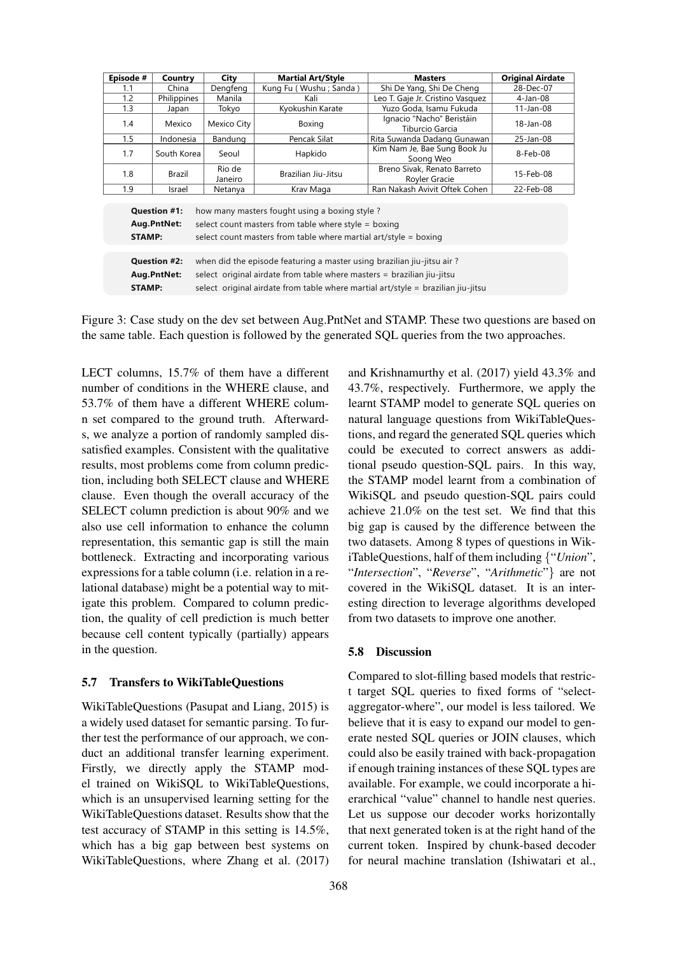| Episode #                                                                                                                                                                                                                                                                                   | Country     | City              | <b>Martial Art/Style</b> | <b>Masters</b>                               | <b>Original Airdate</b> |
|---------------------------------------------------------------------------------------------------------------------------------------------------------------------------------------------------------------------------------------------------------------------------------------------|-------------|-------------------|--------------------------|----------------------------------------------|-------------------------|
| 1.1                                                                                                                                                                                                                                                                                         | China       | Dengfeng          | Kung Fu (Wushu; Sanda)   | Shi De Yang, Shi De Cheng                    | 28-Dec-07               |
| 1.2                                                                                                                                                                                                                                                                                         | Philippines | Manila            | Kali                     | Leo T. Gaje Jr. Cristino Vasquez             | $4$ -Jan-08             |
| 1.3                                                                                                                                                                                                                                                                                         | Japan       | Tokyo             | Kyokushin Karate         | Yuzo Goda, Isamu Fukuda                      | $11$ -Jan-08            |
| 1.4                                                                                                                                                                                                                                                                                         | Mexico      | Mexico City       | Boxing                   | Ignacio "Nacho" Beristáin<br>Tiburcio Garcia | 18-Jan-08               |
| 1.5                                                                                                                                                                                                                                                                                         | Indonesia   | Bandung           | Pencak Silat             | Rita Suwanda Dadang Gunawan                  | 25-Jan-08               |
| 1.7                                                                                                                                                                                                                                                                                         | South Korea | Seoul             | Hapkido                  | Kim Nam Je, Bae Sung Book Ju<br>Soong Weo    | 8-Feb-08                |
| 1.8                                                                                                                                                                                                                                                                                         | Brazil      | Rio de<br>Janeiro | Brazilian Jiu-Jitsu      | Breno Sivak, Renato Barreto<br>Royler Gracie | 15-Feb-08               |
| 1.9                                                                                                                                                                                                                                                                                         | Israel      | Netanya           | Krav Maga                | Ran Nakash Avivit Oftek Cohen                | 22-Feb-08               |
| how many masters fought using a boxing style?<br><b>Question #1:</b><br>Aug.PntNet:<br>select count masters from table where style = boxing<br>select count masters from table where martial art/style = boxing<br><b>STAMP:</b>                                                            |             |                   |                          |                                              |                         |
| when did the episode featuring a master using brazilian jiu-jitsu air?<br><b>Question #2:</b><br>select original airdate from table where masters = brazilian jiu-jitsu<br>Aug.PntNet:<br>select original airdate from table where martial art/style = brazilian jiu-jitsu<br><b>STAMP:</b> |             |                   |                          |                                              |                         |

Figure 3: Case study on the dev set between Aug.PntNet and STAMP. These two questions are based on the same table. Each question is followed by the generated SQL queries from the two approaches.

LECT columns, 15.7% of them have a different number of conditions in the WHERE clause, and 53.7% of them have a different WHERE column set compared to the ground truth. Afterwards, we analyze a portion of randomly sampled dissatisfied examples. Consistent with the qualitative results, most problems come from column prediction, including both SELECT clause and WHERE clause. Even though the overall accuracy of the SELECT column prediction is about 90% and we also use cell information to enhance the column representation, this semantic gap is still the main bottleneck. Extracting and incorporating various expressions for a table column (i.e. relation in a relational database) might be a potential way to mitigate this problem. Compared to column prediction, the quality of cell prediction is much better because cell content typically (partially) appears in the question.

#### 5.7 Transfers to WikiTableQuestions

WikiTableQuestions (Pasupat and Liang, 2015) is a widely used dataset for semantic parsing. To further test the performance of our approach, we conduct an additional transfer learning experiment. Firstly, we directly apply the STAMP model trained on WikiSQL to WikiTableQuestions, which is an unsupervised learning setting for the WikiTableQuestions dataset. Results show that the test accuracy of STAMP in this setting is 14.5%, which has a big gap between best systems on WikiTableQuestions, where Zhang et al. (2017)

368

and Krishnamurthy et al. (2017) yield 43.3% and 43.7%, respectively. Furthermore, we apply the learnt STAMP model to generate SQL queries on natural language questions from WikiTableQuestions, and regard the generated SQL queries which could be executed to correct answers as additional pseudo question-SQL pairs. In this way, the STAMP model learnt from a combination of WikiSQL and pseudo question-SQL pairs could achieve 21.0% on the test set. We find that this big gap is caused by the difference between the two datasets. Among 8 types of questions in WikiTableQuestions, half of them including {"*Union*", "*Intersection*", "*Reverse*", "*Arithmetic*"} are not covered in the WikiSQL dataset. It is an interesting direction to leverage algorithms developed from two datasets to improve one another.

#### 5.8 Discussion

Compared to slot-filling based models that restrict target SQL queries to fixed forms of "selectaggregator-where", our model is less tailored. We believe that it is easy to expand our model to generate nested SQL queries or JOIN clauses, which could also be easily trained with back-propagation if enough training instances of these SQL types are available. For example, we could incorporate a hierarchical "value" channel to handle nest queries. Let us suppose our decoder works horizontally that next generated token is at the right hand of the current token. Inspired by chunk-based decoder for neural machine translation (Ishiwatari et al.,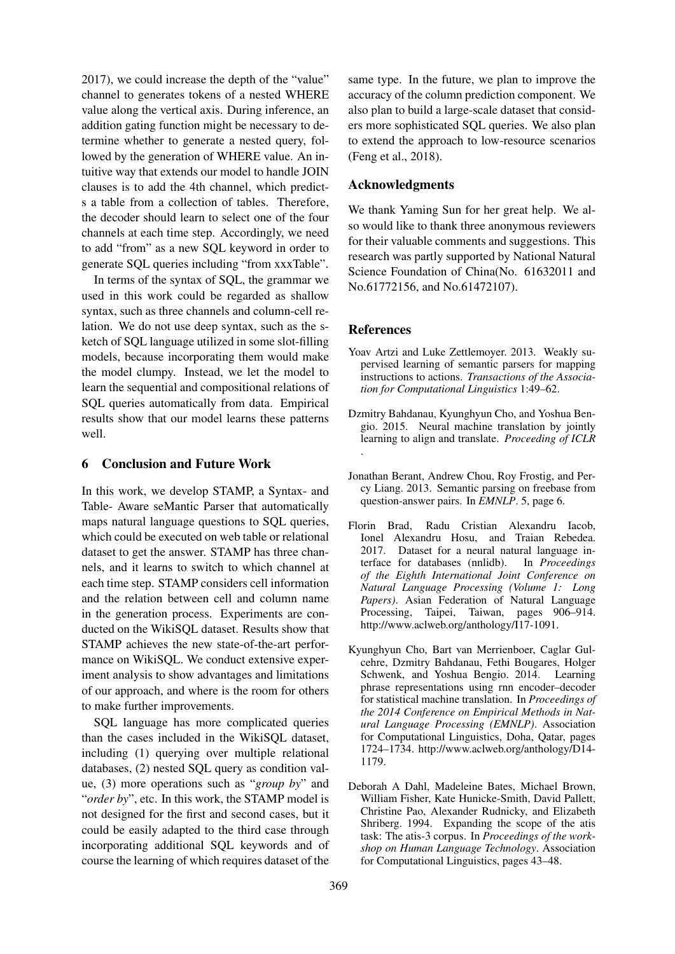2017), we could increase the depth of the "value" channel to generates tokens of a nested WHERE value along the vertical axis. During inference, an addition gating function might be necessary to determine whether to generate a nested query, followed by the generation of WHERE value. An intuitive way that extends our model to handle JOIN clauses is to add the 4th channel, which predicts a table from a collection of tables. Therefore, the decoder should learn to select one of the four channels at each time step. Accordingly, we need to add "from" as a new SQL keyword in order to generate SQL queries including "from xxxTable".

In terms of the syntax of SQL, the grammar we used in this work could be regarded as shallow syntax, such as three channels and column-cell relation. We do not use deep syntax, such as the sketch of SQL language utilized in some slot-filling models, because incorporating them would make the model clumpy. Instead, we let the model to learn the sequential and compositional relations of SQL queries automatically from data. Empirical results show that our model learns these patterns well.

# 6 Conclusion and Future Work

In this work, we develop STAMP, a Syntax- and Table- Aware seMantic Parser that automatically maps natural language questions to SQL queries, which could be executed on web table or relational dataset to get the answer. STAMP has three channels, and it learns to switch to which channel at each time step. STAMP considers cell information and the relation between cell and column name in the generation process. Experiments are conducted on the WikiSQL dataset. Results show that STAMP achieves the new state-of-the-art performance on WikiSQL. We conduct extensive experiment analysis to show advantages and limitations of our approach, and where is the room for others to make further improvements.

SQL language has more complicated queries than the cases included in the WikiSQL dataset, including (1) querying over multiple relational databases, (2) nested SQL query as condition value, (3) more operations such as "*group by*" and "*order by*", etc. In this work, the STAMP model is not designed for the first and second cases, but it could be easily adapted to the third case through incorporating additional SQL keywords and of course the learning of which requires dataset of the

same type. In the future, we plan to improve the accuracy of the column prediction component. We also plan to build a large-scale dataset that considers more sophisticated SQL queries. We also plan to extend the approach to low-resource scenarios (Feng et al., 2018).

### Acknowledgments

We thank Yaming Sun for her great help. We also would like to thank three anonymous reviewers for their valuable comments and suggestions. This research was partly supported by National Natural Science Foundation of China(No. 61632011 and No.61772156, and No.61472107).

### **References**

- Yoav Artzi and Luke Zettlemoyer. 2013. Weakly supervised learning of semantic parsers for mapping instructions to actions. *Transactions of the Association for Computational Linguistics* 1:49–62.
- Dzmitry Bahdanau, Kyunghyun Cho, and Yoshua Bengio. 2015. Neural machine translation by jointly learning to align and translate. *Proceeding of ICLR* .
- Jonathan Berant, Andrew Chou, Roy Frostig, and Percy Liang. 2013. Semantic parsing on freebase from question-answer pairs. In *EMNLP*. 5, page 6.
- Florin Brad, Radu Cristian Alexandru Iacob, Ionel Alexandru Hosu, and Traian Rebedea. 2017. Dataset for a neural natural language interface for databases (nnlidb). In *Proceedings of the Eighth International Joint Conference on Natural Language Processing (Volume 1: Long Papers)*. Asian Federation of Natural Language Processing, Taipei, Taiwan, pages 906–914. http://www.aclweb.org/anthology/I17-1091.
- Kyunghyun Cho, Bart van Merrienboer, Caglar Gulcehre, Dzmitry Bahdanau, Fethi Bougares, Holger Schwenk, and Yoshua Bengio. 2014. Learning phrase representations using rnn encoder–decoder for statistical machine translation. In *Proceedings of the 2014 Conference on Empirical Methods in Natural Language Processing (EMNLP)*. Association for Computational Linguistics, Doha, Qatar, pages 1724–1734. http://www.aclweb.org/anthology/D14- 1179.
- Deborah A Dahl, Madeleine Bates, Michael Brown, William Fisher, Kate Hunicke-Smith, David Pallett, Christine Pao, Alexander Rudnicky, and Elizabeth Shriberg. 1994. Expanding the scope of the atis task: The atis-3 corpus. In *Proceedings of the workshop on Human Language Technology*. Association for Computational Linguistics, pages 43–48.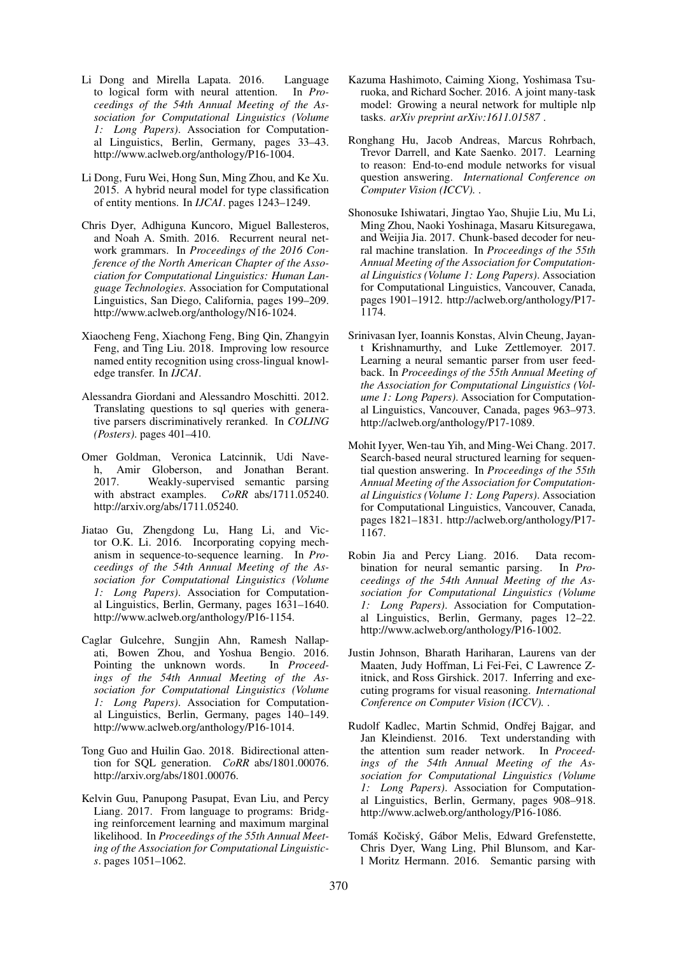- Li Dong and Mirella Lapata. 2016. Language to logical form with neural attention. In *Proceedings of the 54th Annual Meeting of the Association for Computational Linguistics (Volume 1: Long Papers)*. Association for Computational Linguistics, Berlin, Germany, pages 33–43. http://www.aclweb.org/anthology/P16-1004.
- Li Dong, Furu Wei, Hong Sun, Ming Zhou, and Ke Xu. 2015. A hybrid neural model for type classification of entity mentions. In *IJCAI*. pages 1243–1249.
- Chris Dyer, Adhiguna Kuncoro, Miguel Ballesteros, and Noah A. Smith. 2016. Recurrent neural network grammars. In *Proceedings of the 2016 Conference of the North American Chapter of the Association for Computational Linguistics: Human Language Technologies*. Association for Computational Linguistics, San Diego, California, pages 199–209. http://www.aclweb.org/anthology/N16-1024.
- Xiaocheng Feng, Xiachong Feng, Bing Qin, Zhangyin Feng, and Ting Liu. 2018. Improving low resource named entity recognition using cross-lingual knowledge transfer. In *IJCAI*.
- Alessandra Giordani and Alessandro Moschitti. 2012. Translating questions to sql queries with generative parsers discriminatively reranked. In *COLING (Posters)*. pages 401–410.
- Omer Goldman, Veronica Latcinnik, Udi Naveh, Amir Globerson, and Jonathan Berant. 2017. Weakly-supervised semantic parsing with abstract examples. *CoRR* abs/1711.05240. http://arxiv.org/abs/1711.05240.
- Jiatao Gu, Zhengdong Lu, Hang Li, and Victor O.K. Li. 2016. Incorporating copying mechanism in sequence-to-sequence learning. In *Proceedings of the 54th Annual Meeting of the Association for Computational Linguistics (Volume 1: Long Papers)*. Association for Computational Linguistics, Berlin, Germany, pages 1631–1640. http://www.aclweb.org/anthology/P16-1154.
- Caglar Gulcehre, Sungjin Ahn, Ramesh Nallapati, Bowen Zhou, and Yoshua Bengio. 2016. Pointing the unknown words. *ings of the 54th Annual Meeting of the Association for Computational Linguistics (Volume 1: Long Papers)*. Association for Computational Linguistics, Berlin, Germany, pages 140–149. http://www.aclweb.org/anthology/P16-1014.
- Tong Guo and Huilin Gao. 2018. Bidirectional attention for SQL generation. *CoRR* abs/1801.00076. http://arxiv.org/abs/1801.00076.
- Kelvin Guu, Panupong Pasupat, Evan Liu, and Percy Liang. 2017. From language to programs: Bridging reinforcement learning and maximum marginal likelihood. In *Proceedings of the 55th Annual Meeting of the Association for Computational Linguistics*. pages 1051–1062.
- Kazuma Hashimoto, Caiming Xiong, Yoshimasa Tsuruoka, and Richard Socher. 2016. A joint many-task model: Growing a neural network for multiple nlp tasks. *arXiv preprint arXiv:1611.01587* .
- Ronghang Hu, Jacob Andreas, Marcus Rohrbach, Trevor Darrell, and Kate Saenko. 2017. Learning to reason: End-to-end module networks for visual question answering. *International Conference on Computer Vision (ICCV).* .
- Shonosuke Ishiwatari, Jingtao Yao, Shujie Liu, Mu Li, Ming Zhou, Naoki Yoshinaga, Masaru Kitsuregawa, and Weijia Jia. 2017. Chunk-based decoder for neural machine translation. In *Proceedings of the 55th Annual Meeting of the Association for Computational Linguistics (Volume 1: Long Papers)*. Association for Computational Linguistics, Vancouver, Canada, pages 1901–1912. http://aclweb.org/anthology/P17- 1174.
- Srinivasan Iyer, Ioannis Konstas, Alvin Cheung, Jayant Krishnamurthy, and Luke Zettlemoyer. 2017. Learning a neural semantic parser from user feedback. In *Proceedings of the 55th Annual Meeting of the Association for Computational Linguistics (Volume 1: Long Papers)*. Association for Computational Linguistics, Vancouver, Canada, pages 963–973. http://aclweb.org/anthology/P17-1089.
- Mohit Iyyer, Wen-tau Yih, and Ming-Wei Chang. 2017. Search-based neural structured learning for sequential question answering. In *Proceedings of the 55th Annual Meeting of the Association for Computational Linguistics (Volume 1: Long Papers)*. Association for Computational Linguistics, Vancouver, Canada, pages 1821–1831. http://aclweb.org/anthology/P17- 1167.
- Robin Jia and Percy Liang. 2016. Data recombination for neural semantic parsing. In *Proceedings of the 54th Annual Meeting of the Association for Computational Linguistics (Volume 1: Long Papers)*. Association for Computational Linguistics, Berlin, Germany, pages 12–22. http://www.aclweb.org/anthology/P16-1002.
- Justin Johnson, Bharath Hariharan, Laurens van der Maaten, Judy Hoffman, Li Fei-Fei, C Lawrence Zitnick, and Ross Girshick. 2017. Inferring and executing programs for visual reasoning. *International Conference on Computer Vision (ICCV).* .
- Rudolf Kadlec, Martin Schmid, Ondřej Bajgar, and Jan Kleindienst. 2016. Text understanding with the attention sum reader network. In *Proceedings of the 54th Annual Meeting of the Association for Computational Linguistics (Volume 1: Long Papers)*. Association for Computational Linguistics, Berlin, Germany, pages 908–918. http://www.aclweb.org/anthology/P16-1086.
- Tomáš Kočiský, Gábor Melis, Edward Grefenstette, Chris Dyer, Wang Ling, Phil Blunsom, and Karl Moritz Hermann. 2016. Semantic parsing with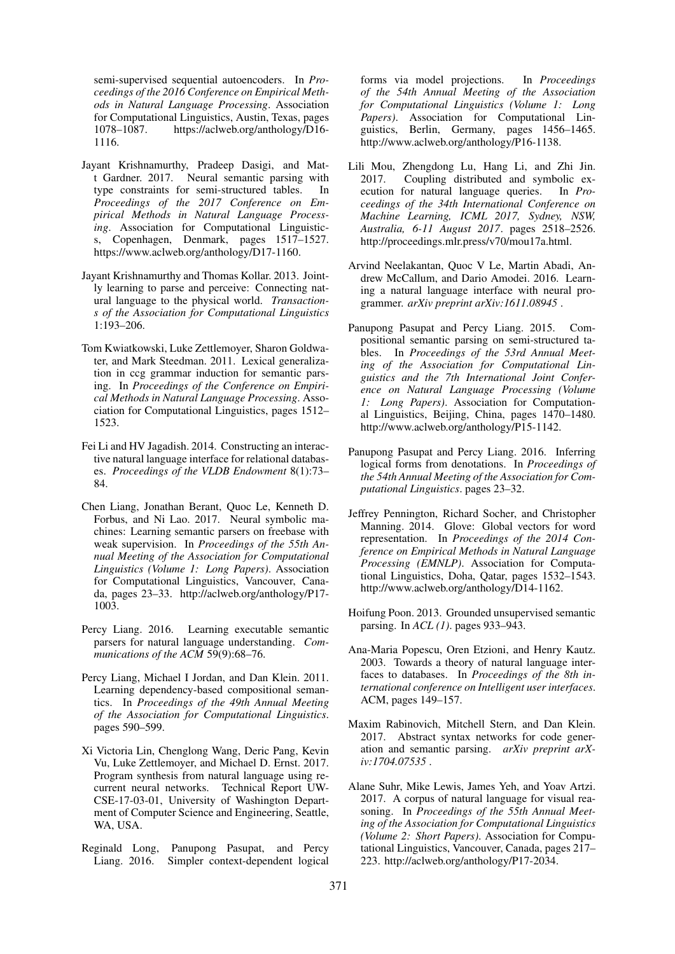semi-supervised sequential autoencoders. In *Proceedings of the 2016 Conference on Empirical Methods in Natural Language Processing*. Association for Computational Linguistics, Austin, Texas, pages 1078–1087. https://aclweb.org/anthology/D16- 1116.

- Jayant Krishnamurthy, Pradeep Dasigi, and Matt Gardner. 2017. Neural semantic parsing with type constraints for semi-structured tables. In *Proceedings of the 2017 Conference on Empirical Methods in Natural Language Processing*. Association for Computational Linguistics, Copenhagen, Denmark, pages 1517–1527. https://www.aclweb.org/anthology/D17-1160.
- Jayant Krishnamurthy and Thomas Kollar. 2013. Jointly learning to parse and perceive: Connecting natural language to the physical world. *Transactions of the Association for Computational Linguistics* 1:193–206.
- Tom Kwiatkowski, Luke Zettlemoyer, Sharon Goldwater, and Mark Steedman. 2011. Lexical generalization in ccg grammar induction for semantic parsing. In *Proceedings of the Conference on Empirical Methods in Natural Language Processing*. Association for Computational Linguistics, pages 1512– 1523.
- Fei Li and HV Jagadish. 2014. Constructing an interactive natural language interface for relational databases. *Proceedings of the VLDB Endowment* 8(1):73– 84.
- Chen Liang, Jonathan Berant, Quoc Le, Kenneth D. Forbus, and Ni Lao. 2017. Neural symbolic machines: Learning semantic parsers on freebase with weak supervision. In *Proceedings of the 55th Annual Meeting of the Association for Computational Linguistics (Volume 1: Long Papers)*. Association for Computational Linguistics, Vancouver, Canada, pages 23–33. http://aclweb.org/anthology/P17- 1003.
- Percy Liang. 2016. Learning executable semantic parsers for natural language understanding. *Communications of the ACM* 59(9):68–76.
- Percy Liang, Michael I Jordan, and Dan Klein. 2011. Learning dependency-based compositional semantics. In *Proceedings of the 49th Annual Meeting of the Association for Computational Linguistics*. pages 590–599.
- Xi Victoria Lin, Chenglong Wang, Deric Pang, Kevin Vu, Luke Zettlemoyer, and Michael D. Ernst. 2017. Program synthesis from natural language using recurrent neural networks. Technical Report UW-CSE-17-03-01, University of Washington Department of Computer Science and Engineering, Seattle, WA, USA.
- Reginald Long, Panupong Pasupat, and Percy Liang. 2016. Simpler context-dependent logical

forms via model projections. In *Proceedings of the 54th Annual Meeting of the Association for Computational Linguistics (Volume 1: Long Papers)*. Association for Computational Linguistics, Berlin, Germany, pages 1456–1465. http://www.aclweb.org/anthology/P16-1138.

- Lili Mou, Zhengdong Lu, Hang Li, and Zhi Jin. 2017. Coupling distributed and symbolic execution for natural language queries. In *Proceedings of the 34th International Conference on Machine Learning, ICML 2017, Sydney, NSW, Australia, 6-11 August 2017*. pages 2518–2526. http://proceedings.mlr.press/v70/mou17a.html.
- Arvind Neelakantan, Quoc V Le, Martin Abadi, Andrew McCallum, and Dario Amodei. 2016. Learning a natural language interface with neural programmer. *arXiv preprint arXiv:1611.08945* .
- Panupong Pasupat and Percy Liang. 2015. Compositional semantic parsing on semi-structured tables. In *Proceedings of the 53rd Annual Meeting of the Association for Computational Linguistics and the 7th International Joint Conference on Natural Language Processing (Volume 1: Long Papers)*. Association for Computational Linguistics, Beijing, China, pages 1470–1480. http://www.aclweb.org/anthology/P15-1142.
- Panupong Pasupat and Percy Liang. 2016. Inferring logical forms from denotations. In *Proceedings of the 54th Annual Meeting of the Association for Computational Linguistics*. pages 23–32.
- Jeffrey Pennington, Richard Socher, and Christopher Manning. 2014. Glove: Global vectors for word representation. In *Proceedings of the 2014 Conference on Empirical Methods in Natural Language Processing (EMNLP)*. Association for Computational Linguistics, Doha, Qatar, pages 1532–1543. http://www.aclweb.org/anthology/D14-1162.
- Hoifung Poon. 2013. Grounded unsupervised semantic parsing. In *ACL (1)*. pages 933–943.
- Ana-Maria Popescu, Oren Etzioni, and Henry Kautz. 2003. Towards a theory of natural language interfaces to databases. In *Proceedings of the 8th international conference on Intelligent user interfaces*. ACM, pages 149–157.
- Maxim Rabinovich, Mitchell Stern, and Dan Klein. 2017. Abstract syntax networks for code generation and semantic parsing. *arXiv preprint arXiv:1704.07535* .
- Alane Suhr, Mike Lewis, James Yeh, and Yoav Artzi. 2017. A corpus of natural language for visual reasoning. In *Proceedings of the 55th Annual Meeting of the Association for Computational Linguistics (Volume 2: Short Papers)*. Association for Computational Linguistics, Vancouver, Canada, pages 217– 223. http://aclweb.org/anthology/P17-2034.